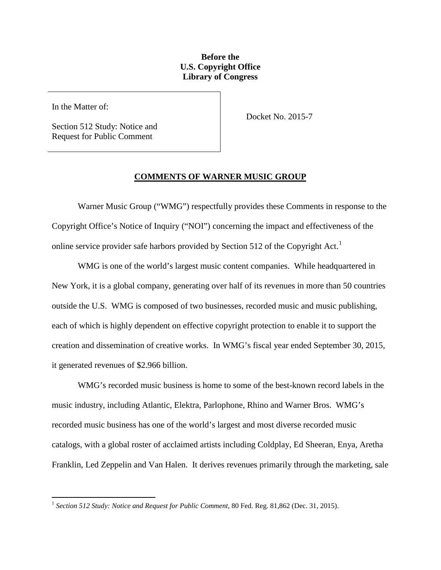## **Before the U.S. Copyright Office Library of Congress**

In the Matter of:

 $\overline{a}$ 

Section 512 Study: Notice and Request for Public Comment

Docket No. 2015-7

### **COMMENTS OF WARNER MUSIC GROUP**

Warner Music Group ("WMG") respectfully provides these Comments in response to the Copyright Office's Notice of Inquiry ("NOI") concerning the impact and effectiveness of the online service provider safe harbors provided by Section 5[1](#page-0-0)2 of the Copyright Act.<sup>1</sup>

WMG is one of the world's largest music content companies. While headquartered in New York, it is a global company, generating over half of its revenues in more than 50 countries outside the U.S. WMG is composed of two businesses, recorded music and music publishing, each of which is highly dependent on effective copyright protection to enable it to support the creation and dissemination of creative works. In WMG's fiscal year ended September 30, 2015, it generated revenues of \$2.966 billion.

WMG's recorded music business is home to some of the best-known record labels in the music industry, including Atlantic, Elektra, Parlophone, Rhino and Warner Bros. WMG's recorded music business has one of the world's largest and most diverse recorded music catalogs, with a global roster of acclaimed artists including Coldplay, Ed Sheeran, Enya, Aretha Franklin, Led Zeppelin and Van Halen. It derives revenues primarily through the marketing, sale

<span id="page-0-0"></span><sup>1</sup> *Section 512 Study: Notice and Request for Public Comment*, 80 Fed. Reg. 81,862 (Dec. 31, 2015).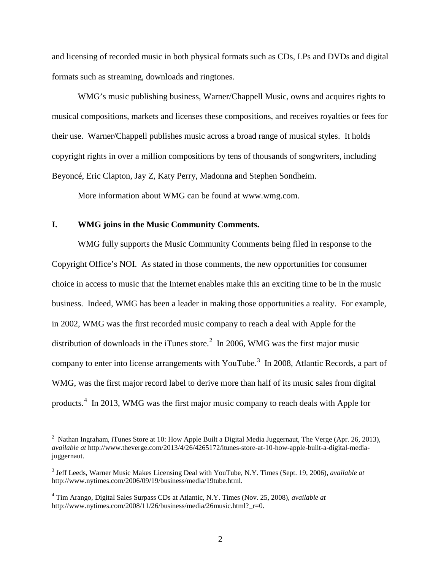and licensing of recorded music in both physical formats such as CDs, LPs and DVDs and digital formats such as streaming, downloads and ringtones.

WMG's music publishing business, Warner/Chappell Music, owns and acquires rights to musical compositions, markets and licenses these compositions, and receives royalties or fees for their use. Warner/Chappell publishes music across a broad range of musical styles. It holds copyright rights in over a million compositions by tens of thousands of songwriters, including Beyoncé, Eric Clapton, Jay Z, Katy Perry, Madonna and Stephen Sondheim.

More information about WMG can be found at www.wmg.com.

#### **I. WMG joins in the Music Community Comments.**

 $\overline{a}$ 

WMG fully supports the Music Community Comments being filed in response to the Copyright Office's NOI. As stated in those comments, the new opportunities for consumer choice in access to music that the Internet enables make this an exciting time to be in the music business. Indeed, WMG has been a leader in making those opportunities a reality. For example, in 2002, WMG was the first recorded music company to reach a deal with Apple for the distribution of downloads in the iTunes store.<sup>[2](#page-1-0)</sup> In 2006, WMG was the first major music company to enter into license arrangements with YouTube.<sup>[3](#page-1-1)</sup> In 2008, Atlantic Records, a part of WMG, was the first major record label to derive more than half of its music sales from digital products.<sup>[4](#page-1-2)</sup> In 2013, WMG was the first major music company to reach deals with Apple for

<span id="page-1-0"></span><sup>&</sup>lt;sup>2</sup> Nathan Ingraham, iTunes Store at 10: How Apple Built a Digital Media Juggernaut, The Verge (Apr. 26, 2013), *available at* http://www.theverge.com/2013/4/26/4265172/itunes-store-at-10-how-apple-built-a-digital-mediajuggernaut.

<span id="page-1-1"></span><sup>3</sup> Jeff Leeds, Warner Music Makes Licensing Deal with YouTube, N.Y. Times (Sept. 19, 2006), *available at* http://www.nytimes.com/2006/09/19/business/media/19tube.html.

<span id="page-1-2"></span><sup>4</sup> Tim Arango, Digital Sales Surpass CDs at Atlantic, N.Y. Times (Nov. 25, 2008), *available at* http://www.nytimes.com/2008/11/26/business/media/26music.html? r=0.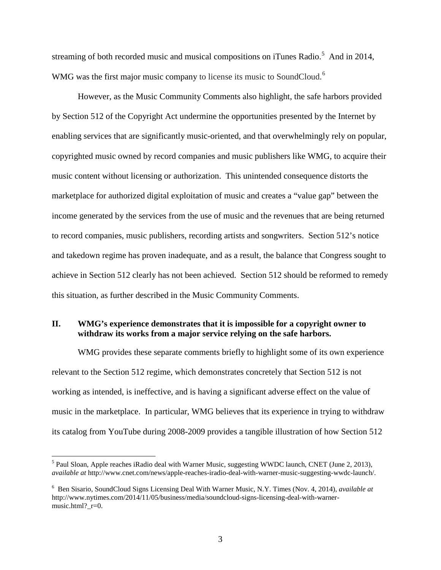streaming of both recorded music and musical compositions on iTunes Radio.<sup>[5](#page-2-0)</sup> And in 2014, WMG was the first major music company to license its music to SoundCloud.<sup>[6](#page-2-1)</sup>

However, as the Music Community Comments also highlight, the safe harbors provided by Section 512 of the Copyright Act undermine the opportunities presented by the Internet by enabling services that are significantly music-oriented, and that overwhelmingly rely on popular, copyrighted music owned by record companies and music publishers like WMG, to acquire their music content without licensing or authorization. This unintended consequence distorts the marketplace for authorized digital exploitation of music and creates a "value gap" between the income generated by the services from the use of music and the revenues that are being returned to record companies, music publishers, recording artists and songwriters. Section 512's notice and takedown regime has proven inadequate, and as a result, the balance that Congress sought to achieve in Section 512 clearly has not been achieved. Section 512 should be reformed to remedy this situation, as further described in the Music Community Comments.

## **II. WMG's experience demonstrates that it is impossible for a copyright owner to withdraw its works from a major service relying on the safe harbors.**

WMG provides these separate comments briefly to highlight some of its own experience relevant to the Section 512 regime, which demonstrates concretely that Section 512 is not working as intended, is ineffective, and is having a significant adverse effect on the value of music in the marketplace. In particular, WMG believes that its experience in trying to withdraw its catalog from YouTube during 2008-2009 provides a tangible illustration of how Section 512

<span id="page-2-0"></span><sup>&</sup>lt;sup>5</sup> Paul Sloan, Apple reaches iRadio deal with Warner Music, suggesting WWDC launch, CNET (June 2, 2013), *available at* http://www.cnet.com/news/apple-reaches-iradio-deal-with-warner-music-suggesting-wwdc-launch/.

<span id="page-2-1"></span><sup>6</sup> Ben Sisario, SoundCloud Signs Licensing Deal With Warner Music, N.Y. Times (Nov. 4, 2014), *available at* http://www.nytimes.com/2014/11/05/business/media/soundcloud-signs-licensing-deal-with-warnermusic.html? $r=0$ .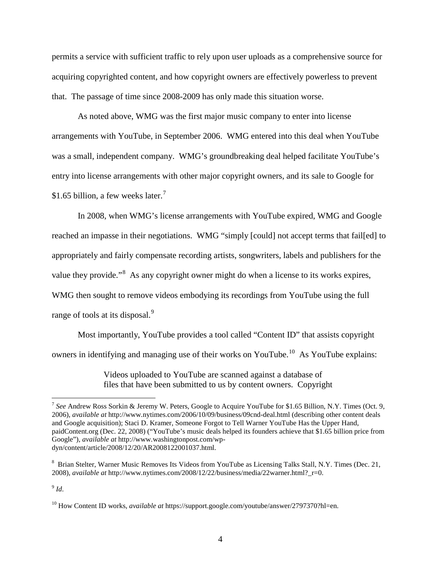permits a service with sufficient traffic to rely upon user uploads as a comprehensive source for acquiring copyrighted content, and how copyright owners are effectively powerless to prevent that. The passage of time since 2008-2009 has only made this situation worse.

As noted above, WMG was the first major music company to enter into license arrangements with YouTube, in September 2006. WMG entered into this deal when YouTube was a small, independent company. WMG's groundbreaking deal helped facilitate YouTube's entry into license arrangements with other major copyright owners, and its sale to Google for \$1.65 billion, a few weeks later.<sup>[7](#page-3-0)</sup>

In 2008, when WMG's license arrangements with YouTube expired, WMG and Google reached an impasse in their negotiations. WMG "simply [could] not accept terms that fail[ed] to appropriately and fairly compensate recording artists, songwriters, labels and publishers for the value they provide."<sup>[8](#page-3-1)</sup> As any copyright owner might do when a license to its works expires, WMG then sought to remove videos embodying its recordings from YouTube using the full range of tools at its disposal.<sup>[9](#page-3-2)</sup>

Most importantly, YouTube provides a tool called "Content ID" that assists copyright owners in identifying and managing use of their works on YouTube.<sup>10</sup> As YouTube explains:

> Videos uploaded to YouTube are scanned against a database of files that have been submitted to us by content owners. Copyright

<span id="page-3-2"></span> $9$  *Id.* 

<span id="page-3-0"></span><sup>7</sup> *See* Andrew Ross Sorkin & Jeremy W. Peters, Google to Acquire YouTube for \$1.65 Billion, N.Y. Times (Oct. 9, 2006), *available at* http://www.nytimes.com/2006/10/09/business/09cnd-deal.html (describing other content deals and Google acquisition); Staci D. Kramer, Someone Forgot to Tell Warner YouTube Has the Upper Hand, paidContent.org (Dec. 22, 2008) ("YouTube's music deals helped its founders achieve that \$1.65 billion price from Google"), *available at* http://www.washingtonpost.com/wpdyn/content/article/2008/12/20/AR2008122001037.html.

<span id="page-3-1"></span><sup>&</sup>lt;sup>8</sup> Brian Stelter, Warner Music Removes Its Videos from YouTube as Licensing Talks Stall, N.Y. Times (Dec. 21, 2008), *available at* http://www.nytimes.com/2008/12/22/business/media/22warner.html?\_r=0.

<span id="page-3-3"></span><sup>10</sup> How Content ID works, *available at* https://support.google.com/youtube/answer/2797370?hl=en.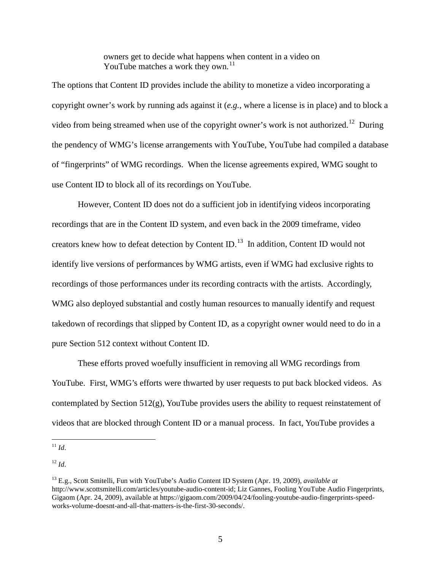owners get to decide what happens when content in a video on YouTube matches a work they own. $^{11}$  $^{11}$  $^{11}$ 

The options that Content ID provides include the ability to monetize a video incorporating a copyright owner's work by running ads against it (*e.g.*, where a license is in place) and to block a video from being streamed when use of the copyright owner's work is not authorized.<sup>12</sup> During the pendency of WMG's license arrangements with YouTube, YouTube had compiled a database of "fingerprints" of WMG recordings. When the license agreements expired, WMG sought to use Content ID to block all of its recordings on YouTube.

However, Content ID does not do a sufficient job in identifying videos incorporating recordings that are in the Content ID system, and even back in the 2009 timeframe, video creators knew how to defeat detection by Content ID.[13](#page-4-2) In addition, Content ID would not identify live versions of performances by WMG artists, even if WMG had exclusive rights to recordings of those performances under its recording contracts with the artists. Accordingly, WMG also deployed substantial and costly human resources to manually identify and request takedown of recordings that slipped by Content ID, as a copyright owner would need to do in a pure Section 512 context without Content ID.

These efforts proved woefully insufficient in removing all WMG recordings from YouTube. First, WMG's efforts were thwarted by user requests to put back blocked videos. As contemplated by Section 512(g), YouTube provides users the ability to request reinstatement of videos that are blocked through Content ID or a manual process. In fact, YouTube provides a

<span id="page-4-0"></span><sup>11</sup> *Id*.  $\overline{a}$ 

<span id="page-4-1"></span><sup>12</sup> *Id*.

<span id="page-4-2"></span><sup>13</sup> E.g., Scott Smitelli, Fun with YouTube's Audio Content ID System (Apr. 19, 2009), *available at* http://www.scottsmitelli.com/articles/youtube-audio-content-id; Liz Gannes, Fooling YouTube Audio Fingerprints, Gigaom (Apr. 24, 2009), available at https://gigaom.com/2009/04/24/fooling-youtube-audio-fingerprints-speedworks-volume-doesnt-and-all-that-matters-is-the-first-30-seconds/.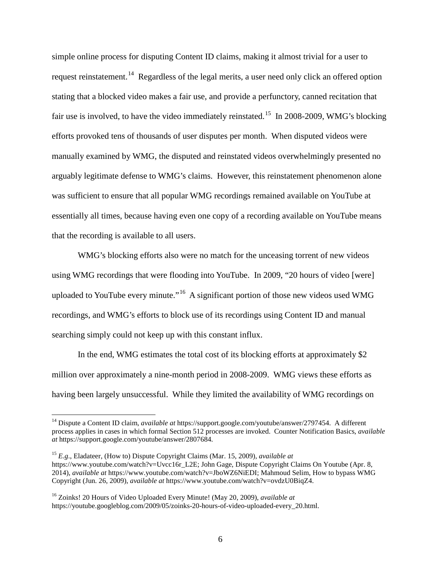simple online process for disputing Content ID claims, making it almost trivial for a user to request reinstatement.<sup>[14](#page-5-0)</sup> Regardless of the legal merits, a user need only click an offered option stating that a blocked video makes a fair use, and provide a perfunctory, canned recitation that fair use is involved, to have the video immediately reinstated.<sup>[15](#page-5-1)</sup> In 2008-2009, WMG's blocking efforts provoked tens of thousands of user disputes per month. When disputed videos were manually examined by WMG, the disputed and reinstated videos overwhelmingly presented no arguably legitimate defense to WMG's claims. However, this reinstatement phenomenon alone was sufficient to ensure that all popular WMG recordings remained available on YouTube at essentially all times, because having even one copy of a recording available on YouTube means that the recording is available to all users.

WMG's blocking efforts also were no match for the unceasing torrent of new videos using WMG recordings that were flooding into YouTube. In 2009, "20 hours of video [were] uploaded to YouTube every minute."<sup>16</sup> A significant portion of those new videos used WMG recordings, and WMG's efforts to block use of its recordings using Content ID and manual searching simply could not keep up with this constant influx.

In the end, WMG estimates the total cost of its blocking efforts at approximately \$2 million over approximately a nine-month period in 2008-2009. WMG views these efforts as having been largely unsuccessful. While they limited the availability of WMG recordings on

<span id="page-5-0"></span><sup>14</sup> Dispute a Content ID claim, *available at* https://support.google.com/youtube/answer/2797454. A different process applies in cases in which formal Section 512 processes are invoked. Counter Notification Basics, *available at* https://support.google.com/youtube/answer/2807684.

<span id="page-5-1"></span><sup>15</sup> *E.g*., Eladateer, (How to) Dispute Copyright Claims (Mar. 15, 2009), *available at* https://www.youtube.com/watch?v=Uvcc16r\_L2E; John Gage, Dispute Copyright Claims On Youtube (Apr. 8, 2014), *available at* https://www.youtube.com/watch?v=JboWZ6NiEDI; Mahmoud Selim, How to bypass WMG Copyright (Jun. 26, 2009), *available at* https://www.youtube.com/watch?v=ovdzU0BiqZ4.

<span id="page-5-2"></span><sup>16</sup> Zoinks! 20 Hours of Video Uploaded Every Minute! (May 20, 2009), *available at* https://youtube.googleblog.com/2009/05/zoinks-20-hours-of-video-uploaded-every\_20.html.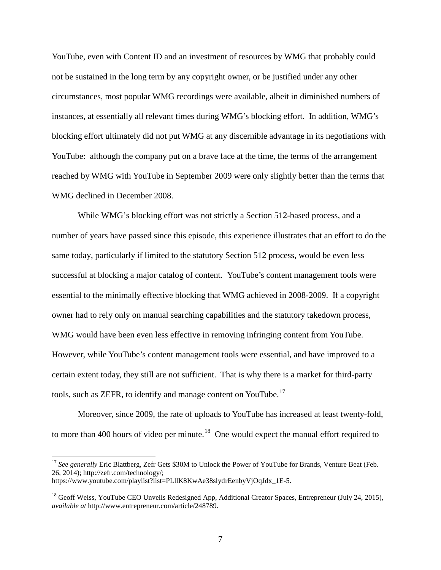YouTube, even with Content ID and an investment of resources by WMG that probably could not be sustained in the long term by any copyright owner, or be justified under any other circumstances, most popular WMG recordings were available, albeit in diminished numbers of instances, at essentially all relevant times during WMG's blocking effort. In addition, WMG's blocking effort ultimately did not put WMG at any discernible advantage in its negotiations with YouTube: although the company put on a brave face at the time, the terms of the arrangement reached by WMG with YouTube in September 2009 were only slightly better than the terms that WMG declined in December 2008.

While WMG's blocking effort was not strictly a Section 512-based process, and a number of years have passed since this episode, this experience illustrates that an effort to do the same today, particularly if limited to the statutory Section 512 process, would be even less successful at blocking a major catalog of content. YouTube's content management tools were essential to the minimally effective blocking that WMG achieved in 2008-2009. If a copyright owner had to rely only on manual searching capabilities and the statutory takedown process, WMG would have been even less effective in removing infringing content from YouTube. However, while YouTube's content management tools were essential, and have improved to a certain extent today, they still are not sufficient. That is why there is a market for third-party tools, such as ZEFR, to identify and manage content on YouTube.<sup>[17](#page-6-0)</sup>

Moreover, since 2009, the rate of uploads to YouTube has increased at least twenty-fold, to more than 400 hours of video per minute.<sup>[18](#page-6-1)</sup> One would expect the manual effort required to

<span id="page-6-0"></span><sup>&</sup>lt;sup>17</sup> See generally Eric Blattberg, Zefr Gets \$30M to Unlock the Power of YouTube for Brands, Venture Beat (Feb. 26, 2014); http://zefr.com/technology/; https://www.youtube.com/playlist?list=PLllK8KwAe38slydrEenbyVjOqJdx\_1E-5.

<span id="page-6-1"></span> $<sup>18</sup>$  Geoff Weiss, YouTube CEO Unveils Redesigned App, Additional Creator Spaces, Entrepreneur (July 24, 2015),</sup> *available at* http://www.entrepreneur.com/article/248789.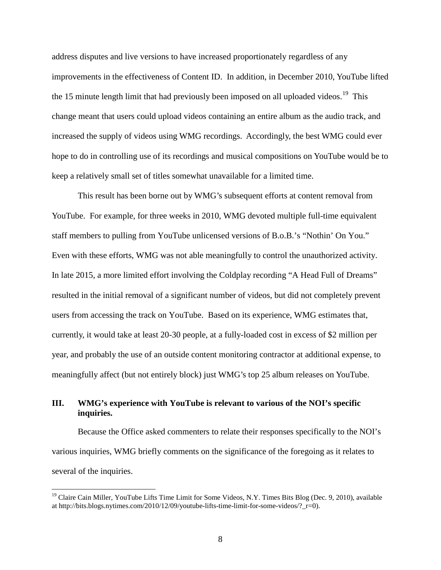address disputes and live versions to have increased proportionately regardless of any improvements in the effectiveness of Content ID. In addition, in December 2010, YouTube lifted the 15 minute length limit that had previously been imposed on all uploaded videos.<sup>19</sup> This change meant that users could upload videos containing an entire album as the audio track, and increased the supply of videos using WMG recordings. Accordingly, the best WMG could ever hope to do in controlling use of its recordings and musical compositions on YouTube would be to keep a relatively small set of titles somewhat unavailable for a limited time.

This result has been borne out by WMG's subsequent efforts at content removal from YouTube. For example, for three weeks in 2010, WMG devoted multiple full-time equivalent staff members to pulling from YouTube unlicensed versions of B.o.B.'s "Nothin' On You." Even with these efforts, WMG was not able meaningfully to control the unauthorized activity. In late 2015, a more limited effort involving the Coldplay recording "A Head Full of Dreams" resulted in the initial removal of a significant number of videos, but did not completely prevent users from accessing the track on YouTube. Based on its experience, WMG estimates that, currently, it would take at least 20-30 people, at a fully-loaded cost in excess of \$2 million per year, and probably the use of an outside content monitoring contractor at additional expense, to meaningfully affect (but not entirely block) just WMG's top 25 album releases on YouTube.

# **III. WMG's experience with YouTube is relevant to various of the NOI's specific inquiries.**

Because the Office asked commenters to relate their responses specifically to the NOI's various inquiries, WMG briefly comments on the significance of the foregoing as it relates to several of the inquiries.

<span id="page-7-0"></span><sup>&</sup>lt;sup>19</sup> Claire Cain Miller, YouTube Lifts Time Limit for Some Videos, N.Y. Times Bits Blog (Dec. 9, 2010), available at http://bits.blogs.nytimes.com/2010/12/09/youtube-lifts-time-limit-for-some-videos/? $r=0$ .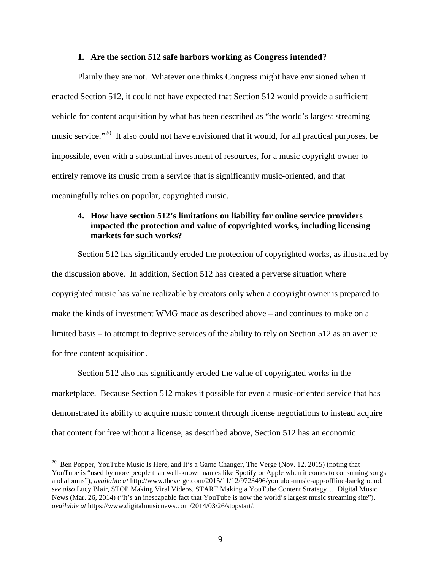#### **1. Are the section 512 safe harbors working as Congress intended?**

Plainly they are not. Whatever one thinks Congress might have envisioned when it enacted Section 512, it could not have expected that Section 512 would provide a sufficient vehicle for content acquisition by what has been described as "the world's largest streaming music service."<sup>20</sup> It also could not have envisioned that it would, for all practical purposes, be impossible, even with a substantial investment of resources, for a music copyright owner to entirely remove its music from a service that is significantly music-oriented, and that meaningfully relies on popular, copyrighted music.

## **4. How have section 512's limitations on liability for online service providers impacted the protection and value of copyrighted works, including licensing markets for such works?**

Section 512 has significantly eroded the protection of copyrighted works, as illustrated by the discussion above. In addition, Section 512 has created a perverse situation where copyrighted music has value realizable by creators only when a copyright owner is prepared to make the kinds of investment WMG made as described above – and continues to make on a limited basis – to attempt to deprive services of the ability to rely on Section 512 as an avenue for free content acquisition.

Section 512 also has significantly eroded the value of copyrighted works in the marketplace. Because Section 512 makes it possible for even a music-oriented service that has demonstrated its ability to acquire music content through license negotiations to instead acquire that content for free without a license, as described above, Section 512 has an economic

<span id="page-8-0"></span><sup>&</sup>lt;sup>20</sup> Ben Popper, YouTube Music Is Here, and It's a Game Changer, The Verge (Nov. 12, 2015) (noting that YouTube is "used by more people than well-known names like Spotify or Apple when it comes to consuming songs and albums"), *available at* http://www.theverge.com/2015/11/12/9723496/youtube-music-app-offline-background; *see also* Lucy Blair, STOP Making Viral Videos. START Making a YouTube Content Strategy…, Digital Music News (Mar. 26, 2014) ("It's an inescapable fact that YouTube is now the world's largest music streaming site"), *available at* https://www.digitalmusicnews.com/2014/03/26/stopstart/.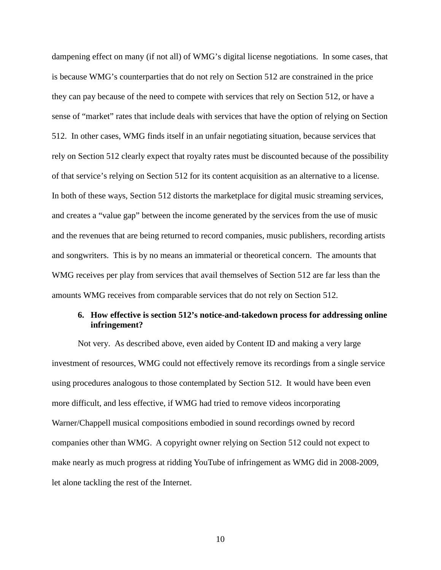dampening effect on many (if not all) of WMG's digital license negotiations. In some cases, that is because WMG's counterparties that do not rely on Section 512 are constrained in the price they can pay because of the need to compete with services that rely on Section 512, or have a sense of "market" rates that include deals with services that have the option of relying on Section 512. In other cases, WMG finds itself in an unfair negotiating situation, because services that rely on Section 512 clearly expect that royalty rates must be discounted because of the possibility of that service's relying on Section 512 for its content acquisition as an alternative to a license. In both of these ways, Section 512 distorts the marketplace for digital music streaming services, and creates a "value gap" between the income generated by the services from the use of music and the revenues that are being returned to record companies, music publishers, recording artists and songwriters. This is by no means an immaterial or theoretical concern. The amounts that WMG receives per play from services that avail themselves of Section 512 are far less than the amounts WMG receives from comparable services that do not rely on Section 512.

# **6. How effective is section 512's notice-and-takedown process for addressing online infringement?**

Not very. As described above, even aided by Content ID and making a very large investment of resources, WMG could not effectively remove its recordings from a single service using procedures analogous to those contemplated by Section 512. It would have been even more difficult, and less effective, if WMG had tried to remove videos incorporating Warner/Chappell musical compositions embodied in sound recordings owned by record companies other than WMG. A copyright owner relying on Section 512 could not expect to make nearly as much progress at ridding YouTube of infringement as WMG did in 2008-2009, let alone tackling the rest of the Internet.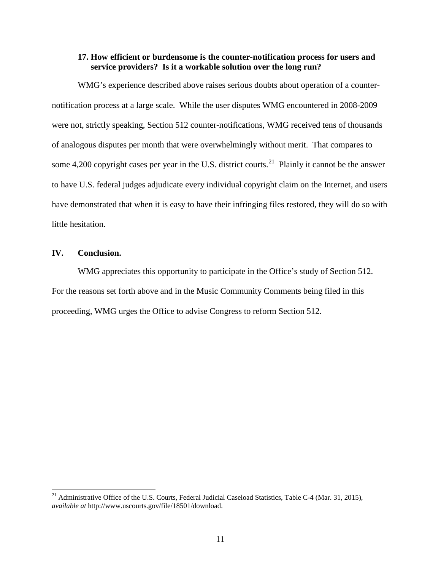### **17. How efficient or burdensome is the counter-notification process for users and service providers? Is it a workable solution over the long run?**

WMG's experience described above raises serious doubts about operation of a counternotification process at a large scale. While the user disputes WMG encountered in 2008-2009 were not, strictly speaking, Section 512 counter-notifications, WMG received tens of thousands of analogous disputes per month that were overwhelmingly without merit. That compares to some 4,200 copyright cases per year in the U.S. district courts.<sup>[21](#page-10-0)</sup> Plainly it cannot be the answer to have U.S. federal judges adjudicate every individual copyright claim on the Internet, and users have demonstrated that when it is easy to have their infringing files restored, they will do so with little hesitation.

### **IV. Conclusion.**

 $\overline{a}$ 

WMG appreciates this opportunity to participate in the Office's study of Section 512. For the reasons set forth above and in the Music Community Comments being filed in this proceeding, WMG urges the Office to advise Congress to reform Section 512.

<span id="page-10-0"></span><sup>&</sup>lt;sup>21</sup> Administrative Office of the U.S. Courts, Federal Judicial Caseload Statistics, Table C-4 (Mar. 31, 2015), *available at* http://www.uscourts.gov/file/18501/download.